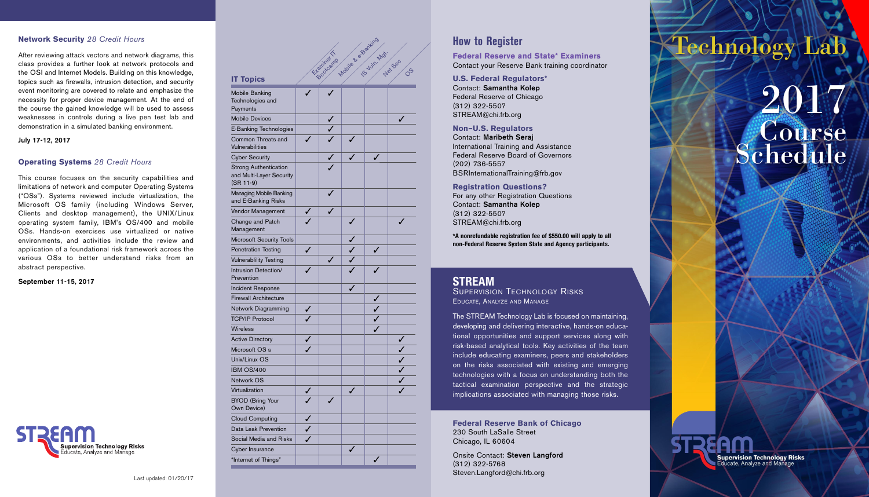#### **Network Security** *28 Credit Hours*

After reviewing attack vectors and network diagrams, this class provides a further look at network protocols and the OSI and Internet Models. Building on this knowledge, topics such as firewalls, intrusion detection, and security event monitoring are covered to relate and emphasize the necessity for proper device management. At the end of the course the gained knowledge will be used to assess weaknesses in controls during a live pen test lab and demonstration in a simulated banking environment.

**July 17-12, 2017**

#### **Operating Systems** *28 Credit Hours*

This course focuses on the security capabilities and limitations of network and computer Operating Systems ("OSs"). Systems reviewed include virtualization, the Microsoft OS family (including Windows Server, Clients and desktop management), the UNIX/Linux operating system family, IBM's OS/400 and mobile OSs. Hands-on exercises use virtualized or native environments, and activities include the review and application of a foundational risk framework across the various OSs to better understand risks from an abstract perspective.

**September 11-15, 2017**



Last updated: 01/20/17

|                                                                         | Modie & Stanting Motive Sec |            |   |   |         |  |
|-------------------------------------------------------------------------|-----------------------------|------------|---|---|---------|--|
|                                                                         |                             |            |   |   |         |  |
|                                                                         |                             |            |   |   | $O^{5}$ |  |
| <b>IT Topics</b>                                                        |                             | Etamines T |   |   |         |  |
| Mobile Banking                                                          |                             |            |   |   |         |  |
| Technologies and                                                        |                             |            |   |   |         |  |
| Payments                                                                |                             |            |   |   |         |  |
| <b>Mobile Devices</b>                                                   |                             |            |   |   | ✓       |  |
| E-Banking Technologies                                                  |                             |            |   |   |         |  |
| Common Threats and<br>Vulnerabilities                                   |                             |            |   |   |         |  |
| <b>Cyber Security</b>                                                   |                             |            |   | ✓ |         |  |
| <b>Strong Authentication</b><br>and Multi-Layer Security<br>$(SR 11-9)$ |                             |            |   |   |         |  |
| Managing Mobile Banking<br>and E-Banking Risks                          |                             |            |   |   |         |  |
| Vendor Management                                                       |                             |            |   |   |         |  |
| Change and Patch<br>Management                                          |                             |            | ✓ |   |         |  |
| <b>Microsoft Security Tools</b>                                         |                             |            |   |   |         |  |
| <b>Penetration Testing</b>                                              | J                           |            | ✓ | ✓ |         |  |
| <b>Vulnerablility Testing</b>                                           |                             |            |   |   |         |  |
| Intrusion Detection/<br>Prevention                                      |                             |            |   |   |         |  |
| <b>Incident Response</b>                                                |                             |            |   |   |         |  |
| <b>Firewall Architecture</b>                                            |                             |            |   |   |         |  |
| Network Diagramming                                                     |                             |            |   | ✓ |         |  |
| <b>TCP/IP Protocol</b>                                                  | ✓                           |            |   | ✓ |         |  |
| Wireless                                                                |                             |            |   |   |         |  |
| <b>Active Directory</b>                                                 |                             |            |   |   |         |  |
| Microsoft OS s                                                          |                             |            |   |   |         |  |
| Unix/Linux OS                                                           |                             |            |   |   |         |  |
| <b>IBM OS/400</b>                                                       |                             |            |   |   |         |  |
| Network OS                                                              |                             |            |   |   |         |  |
| Virtualization                                                          |                             |            |   |   |         |  |
| <b>BYOD (Bring Your</b><br>Own Device)                                  |                             |            |   |   |         |  |
| <b>Cloud Computing</b>                                                  |                             |            |   |   |         |  |
| Data Leak Prevention                                                    |                             |            |   |   |         |  |
| Social Media and Risks                                                  |                             |            |   |   |         |  |
| Cyber Insurance                                                         |                             |            |   |   |         |  |
| "Internet of Things"                                                    |                             |            |   |   |         |  |

# **How to Register**

**Federal Reserve and State\* Examiners** Contact your Reserve Bank training coordinator

**U.S. Federal Regulators\*** Contact: **Samantha Kolep** Federal Reserve of Chicago (312) 322-5507 STREAM@chi.frb.org

**Non–U.S. Regulators** Contact: **Maribeth Seraj** International Training and Assistance Federal Reserve Board of Governors (202) 736-5557 BSRInternationalTraining@frb.gov

**Registration Questions?** For any other Registration Questions Contact: **Samantha Kolep** (312) 322-5507 STREAM@chi.frb.org

**\*A nonrefundable registration fee of \$550.00 will apply to all non-Federal Reserve System State and Agency participants.**

# **STREAM** SUPERVISION TECHNOLOGY RISKS

EDUCATE, ANALYZE AND MANAGE

The STREAM Technology Lab is focused on maintaining, developing and delivering interactive, hands-on educational opportunities and support services along with risk-based analytical tools. Key activities of the team include educating examiners, peers and stakeholders on the risks associated with existing and emerging technologies with a focus on understanding both the tactical examination perspective and the strategic implications associated with managing those risks.

**Federal Reserve Bank of Chicago** 230 South LaSalle Street Chicago, IL 60604

Onsite Contact: **Steven Langford** (312) 322-5768 Steven.Langford@chi.frb.org

# Technology Lab

**Supervision Technology Risks**<br>| Educate, Analyze and Manage

# 2017 **Course** Schedule